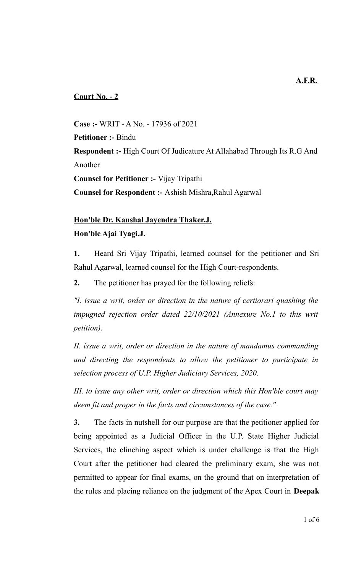## **Court No. - 2**

**Case :-** WRIT - A No. - 17936 of 2021 **Petitioner :-** Bindu **Respondent :-** High Court Of Judicature At Allahabad Through Its R.G And Another **Counsel for Petitioner :-** Vijay Tripathi **Counsel for Respondent :-** Ashish Mishra,Rahul Agarwal

## **Hon'ble Dr. Kaushal Jayendra Thaker,J. Hon'ble Ajai Tyagi,J.**

**1.** Heard Sri Vijay Tripathi, learned counsel for the petitioner and Sri Rahul Agarwal, learned counsel for the High Court-respondents.

**2.** The petitioner has prayed for the following reliefs:

*"I. issue a writ, order or direction in the nature of certiorari quashing the impugned rejection order dated 22/10/2021 (Annexure No.1 to this writ petition).*

*II. issue a writ, order or direction in the nature of mandamus commanding and directing the respondents to allow the petitioner to participate in selection process of U.P. Higher Judiciary Services, 2020.*

*III. to issue any other writ, order or direction which this Hon'ble court may deem fit and proper in the facts and circumstances of the case."*

**3.** The facts in nutshell for our purpose are that the petitioner applied for being appointed as a Judicial Officer in the U.P. State Higher Judicial Services, the clinching aspect which is under challenge is that the High Court after the petitioner had cleared the preliminary exam, she was not permitted to appear for final exams, on the ground that on interpretation of the rules and placing reliance on the judgment of the Apex Court in **Deepak**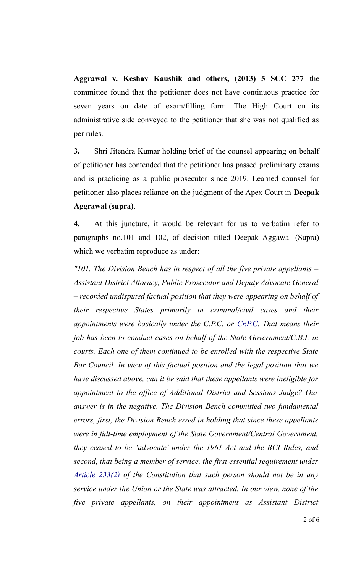**Aggrawal v. Keshav Kaushik and others, (2013) 5 SCC 277** the committee found that the petitioner does not have continuous practice for seven years on date of exam/filling form. The High Court on its administrative side conveyed to the petitioner that she was not qualified as per rules.

**3.** Shri Jitendra Kumar holding brief of the counsel appearing on behalf of petitioner has contended that the petitioner has passed preliminary exams and is practicing as a public prosecutor since 2019. Learned counsel for petitioner also places reliance on the judgment of the Apex Court in **Deepak Aggrawal (supra)**.

**4.** At this juncture, it would be relevant for us to verbatim refer to paragraphs no.101 and 102, of decision titled Deepak Aggawal (Supra) which we verbatim reproduce as under:

*"101. The Division Bench has in respect of all the five private appellants – Assistant District Attorney, Public Prosecutor and Deputy Advocate General – recorded undisputed factual position that they were appearing on behalf of their respective States primarily in criminal/civil cases and their appointments were basically under the C.P.C. or Cr.P.C. That means their job has been to conduct cases on behalf of the State Government/C.B.I. in courts. Each one of them continued to be enrolled with the respective State Bar Council. In view of this factual position and the legal position that we have discussed above, can it be said that these appellants were ineligible for appointment to the office of Additional District and Sessions Judge? Our answer is in the negative. The Division Bench committed two fundamental errors, first, the Division Bench erred in holding that since these appellants were in full-time employment of the State Government/Central Government, they ceased to be 'advocate' under the 1961 Act and the BCI Rules, and second, that being a member of service, the first essential requirement under Article 233(2) of the Constitution that such person should not be in any service under the Union or the State was attracted. In our view, none of the five private appellants, on their appointment as Assistant District*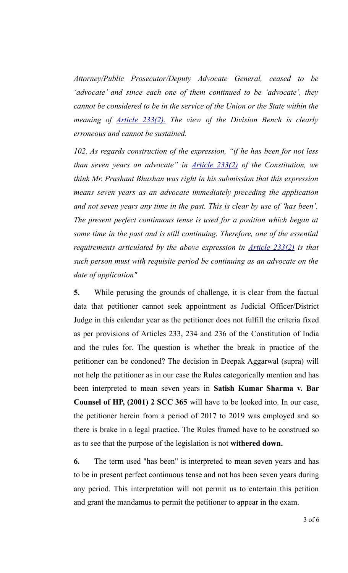*Attorney/Public Prosecutor/Deputy Advocate General, ceased to be 'advocate' and since each one of them continued to be 'advocate', they cannot be considered to be in the service of the Union or the State within the meaning of Article 233(2). The view of the Division Bench is clearly erroneous and cannot be sustained.* 

*102. As regards construction of the expression, "if he has been for not less than seven years an advocate" in Article 233(2) of the Constitution, we think Mr. Prashant Bhushan was right in his submission that this expression means seven years as an advocate immediately preceding the application and not seven years any time in the past. This is clear by use of 'has been'. The present perfect continuous tense is used for a position which began at some time in the past and is still continuing. Therefore, one of the essential requirements articulated by the above expression in Article 233(2) is that such person must with requisite period be continuing as an advocate on the date of application"* 

**5.** While perusing the grounds of challenge, it is clear from the factual data that petitioner cannot seek appointment as Judicial Officer/District Judge in this calendar year as the petitioner does not fulfill the criteria fixed as per provisions of Articles 233, 234 and 236 of the Constitution of India and the rules for. The question is whether the break in practice of the petitioner can be condoned? The decision in Deepak Aggarwal (supra) will not help the petitioner as in our case the Rules categorically mention and has been interpreted to mean seven years in **Satish Kumar Sharma v. Bar Counsel of HP, (2001) 2 SCC 365** will have to be looked into. In our case, the petitioner herein from a period of 2017 to 2019 was employed and so there is brake in a legal practice. The Rules framed have to be construed so as to see that the purpose of the legislation is not **withered down.** 

**6.** The term used "has been" is interpreted to mean seven years and has to be in present perfect continuous tense and not has been seven years during any period. This interpretation will not permit us to entertain this petition and grant the mandamus to permit the petitioner to appear in the exam.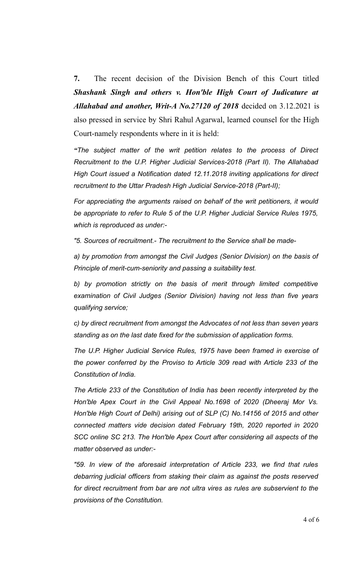**7.** The recent decision of the Division Bench of this Court titled *Shashank Singh and others v. Hon'ble High Court of Judicature at Allahabad and another, Writ-A No.27120 of 2018* decided on 3.12.2021 is also pressed in service by Shri Rahul Agarwal, learned counsel for the High Court-namely respondents where in it is held:

*"The subject matter of the writ petition relates to the process of Direct Recruitment to the U.P. Higher Judicial Services-2018 (Part II). The Allahabad High Court issued a Notification dated 12.11.2018 inviting applications for direct recruitment to the Uttar Pradesh High Judicial Service-2018 (Part-II);*

*For appreciating the arguments raised on behalf of the writ petitioners, it would be appropriate to refer to Rule 5 of the U.P. Higher Judicial Service Rules 1975, which is reproduced as under:-*

*"5. Sources of recruitment.- The recruitment to the Service shall be made-*

*a) by promotion from amongst the Civil Judges (Senior Division) on the basis of Principle of merit-cum-seniority and passing a suitability test.*

*b) by promotion strictly on the basis of merit through limited competitive examination of Civil Judges (Senior Division) having not less than five years qualifying service;*

*c) by direct recruitment from amongst the Advocates of not less than seven years standing as on the last date fixed for the submission of application forms.* 

*The U.P. Higher Judicial Service Rules, 1975 have been framed in exercise of the power conferred by the Proviso to Article 309 read with Article 233 of the Constitution of India.* 

*The Article 233 of the Constitution of India has been recently interpreted by the Hon'ble Apex Court in the Civil Appeal No.1698 of 2020 (Dheeraj Mor Vs. Hon'ble High Court of Delhi) arising out of SLP (C) No.14156 of 2015 and other connected matters vide decision dated February 19th, 2020 reported in 2020 SCC online SC 213. The Hon'ble Apex Court after considering all aspects of the matter observed as under:-*

*"59. In view of the aforesaid interpretation of Article 233, we find that rules debarring judicial officers from staking their claim as against the posts reserved for direct recruitment from bar are not ultra vires as rules are subservient to the provisions of the Constitution.*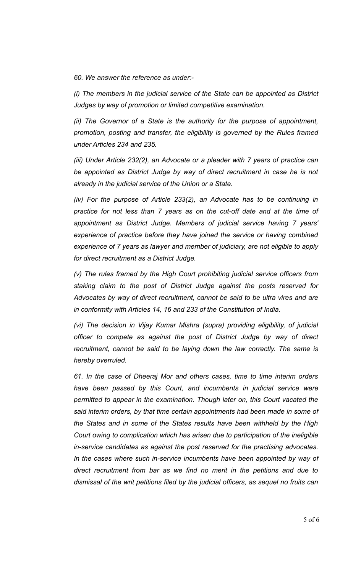*60. We answer the reference as under:-*

*(i) The members in the judicial service of the State can be appointed as District Judges by way of promotion or limited competitive examination.*

*(ii) The Governor of a State is the authority for the purpose of appointment, promotion, posting and transfer, the eligibility is governed by the Rules framed under Articles 234 and 235.*

*(iii) Under Article 232(2), an Advocate or a pleader with 7 years of practice can be appointed as District Judge by way of direct recruitment in case he is not already in the judicial service of the Union or a State.*

*(iv) For the purpose of Article 233(2), an Advocate has to be continuing in practice for not less than 7 years as on the cut-off date and at the time of appointment as District Judge. Members of judicial service having 7 years' experience of practice before they have joined the service or having combined experience of 7 years as lawyer and member of judiciary, are not eligible to apply for direct recruitment as a District Judge.*

*(v) The rules framed by the High Court prohibiting judicial service officers from staking claim to the post of District Judge against the posts reserved for Advocates by way of direct recruitment, cannot be said to be ultra vires and are in conformity with Articles 14, 16 and 233 of the Constitution of India.*

*(vi) The decision in Vijay Kumar Mishra (supra) providing eligibility, of judicial officer to compete as against the post of District Judge by way of direct recruitment, cannot be said to be laying down the law correctly. The same is hereby overruled.*

*61. In the case of Dheeraj Mor and others cases, time to time interim orders have been passed by this Court, and incumbents in judicial service were permitted to appear in the examination. Though later on, this Court vacated the said interim orders, by that time certain appointments had been made in some of the States and in some of the States results have been withheld by the High Court owing to complication which has arisen due to participation of the ineligible in-service candidates as against the post reserved for the practising advocates. In the cases where such in-service incumbents have been appointed by way of direct recruitment from bar as we find no merit in the petitions and due to dismissal of the writ petitions filed by the judicial officers, as sequel no fruits can*